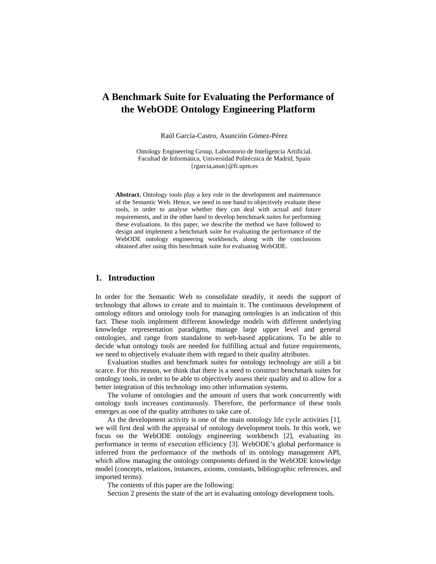# **A Benchmark Suite for Evaluating the Performance of the WebODE Ontology Engineering Platform**

Raúl García-Castro, Asunción Gómez-Pérez

Ontology Engineering Group, Laboratorio de Inteligencia Artificial. Facultad de Informática, Universidad Politécnica de Madrid, Spain {rgarcia,asun}@fi.upm.es

**Abstract.** Ontology tools play a key role in the development and maintenance of the Semantic Web. Hence, we need in one hand to objectively evaluate these tools, in order to analyse whether they can deal with actual and future requirements, and in the other hand to develop benchmark suites for performing these evaluations. In this paper, we describe the method we have followed to design and implement a benchmark suite for evaluating the performance of the WebODE ontology engineering workbench, along with the conclusions obtained after using this benchmark suite for evaluating WebODE.

# **1. Introduction**

In order for the Semantic Web to consolidate steadily, it needs the support of technology that allows to create and to maintain it. The continuous development of ontology editors and ontology tools for managing ontologies is an indication of this fact. These tools implement different knowledge models with different underlying knowledge representation paradigms, manage large upper level and general ontologies, and range from standalone to web-based applications. To be able to decide what ontology tools are needed for fulfilling actual and future requirements, we need to objectively evaluate them with regard to their quality attributes.

Evaluation studies and benchmark suites for ontology technology are still a bit scarce. For this reason, we think that there is a need to construct benchmark suites for ontology tools, in order to be able to objectively assess their quality and to allow for a better integration of this technology into other information systems.

The volume of ontologies and the amount of users that work concurrently with ontology tools increases continuously. Therefore, the performance of these tools emerges as one of the quality attributes to take care of.

As the development activity is one of the main ontology life cycle activities [1], we will first deal with the appraisal of ontology development tools. In this work, we focus on the WebODE ontology engineering workbench [2], evaluating its performance in terms of execution efficiency [3]. WebODE's global performance is inferred from the performance of the methods of its ontology management API, which allow managing the ontology components defined in the WebODE knowledge model (concepts, relations, instances, axioms, constants, bibliographic references, and imported terms).

The contents of this paper are the following:

Section 2 presents the state of the art in evaluating ontology development tools.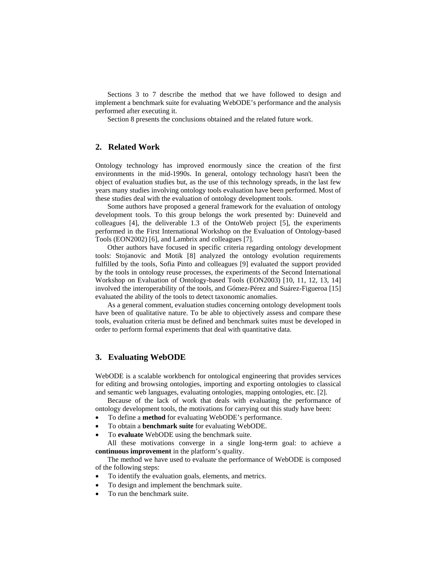Sections 3 to 7 describe the method that we have followed to design and implement a benchmark suite for evaluating WebODE's performance and the analysis performed after executing it.

Section 8 presents the conclusions obtained and the related future work.

# **2. Related Work**

Ontology technology has improved enormously since the creation of the first environments in the mid-1990s. In general, ontology technology hasn't been the object of evaluation studies but, as the use of this technology spreads, in the last few years many studies involving ontology tools evaluation have been performed. Most of these studies deal with the evaluation of ontology development tools.

Some authors have proposed a general framework for the evaluation of ontology development tools. To this group belongs the work presented by: Duineveld and colleagues [4], the deliverable 1.3 of the OntoWeb project [5], the experiments performed in the First International Workshop on the Evaluation of Ontology-based Tools (EON2002) [6], and Lambrix and colleagues [7].

Other authors have focused in specific criteria regarding ontology development tools: Stojanovic and Motik [8] analyzed the ontology evolution requirements fulfilled by the tools, Sofia Pinto and colleagues [9] evaluated the support provided by the tools in ontology reuse processes, the experiments of the Second International Workshop on Evaluation of Ontology-based Tools (EON2003) [10, 11, 12, 13, 14] involved the interoperability of the tools, and Gómez-Pérez and Suárez-Figueroa [15] evaluated the ability of the tools to detect taxonomic anomalies.

As a general comment, evaluation studies concerning ontology development tools have been of qualitative nature. To be able to objectively assess and compare these tools, evaluation criteria must be defined and benchmark suites must be developed in order to perform formal experiments that deal with quantitative data.

# **3. Evaluating WebODE**

WebODE is a scalable workbench for ontological engineering that provides services for editing and browsing ontologies, importing and exporting ontologies to classical and semantic web languages, evaluating ontologies, mapping ontologies, etc. [2].

Because of the lack of work that deals with evaluating the performance of ontology development tools, the motivations for carrying out this study have been:

- To define a **method** for evaluating WebODE's performance.
- To obtain a **benchmark suite** for evaluating WebODE.
- To **evaluate** WebODE using the benchmark suite.

All these motivations converge in a single long-term goal: to achieve a **continuous improvement** in the platform's quality.

The method we have used to evaluate the performance of WebODE is composed of the following steps:

- To identify the evaluation goals, elements, and metrics.
- To design and implement the benchmark suite.
- To run the benchmark suite.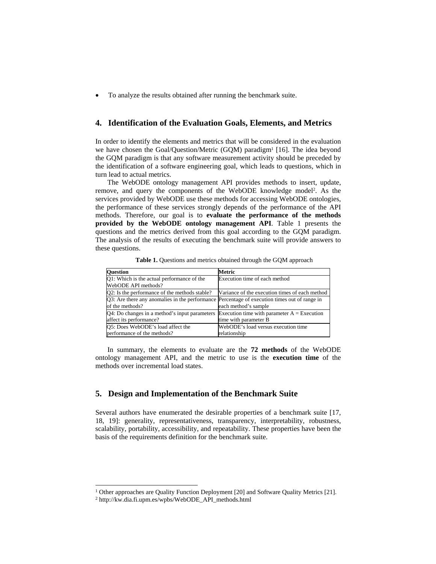• To analyze the results obtained after running the benchmark suite.

# **4. Identification of the Evaluation Goals, Elements, and Metrics**

In order to identify the elements and metrics that will be considered in the evaluation we have chosen the Goal/Question/Metric (GQM) paradigm<sup>1</sup> [16]. The idea beyond the GQM paradigm is that any software measurement activity should be preceded by the identification of a software engineering goal, which leads to questions, which in turn lead to actual metrics.

The WebODE ontology management API provides methods to insert, update, remove, and query the components of the WebODE knowledge model[2.](#page-2-2) As the services provided by WebODE use these methods for accessing WebODE ontologies, the performance of these services strongly depends of the performance of the API methods. Therefore, our goal is to **evaluate the performance of the methods provided by the WebODE ontology management API**. [Table 1](#page-2-0) presents the questions and the metrics derived from this goal according to the GQM paradigm. The analysis of the results of executing the benchmark suite will provide answers to these questions.

| <b>Ouestion</b>                                                                              | Metric                                         |
|----------------------------------------------------------------------------------------------|------------------------------------------------|
| O1: Which is the actual performance of the                                                   | Execution time of each method                  |
| WebODE API methods?                                                                          |                                                |
| Q2: Is the performance of the methods stable?                                                | Variance of the execution times of each method |
| Q3: Are there any anomalies in the performance Percentage of execution times out of range in |                                                |
| of the methods?                                                                              | each method's sample                           |
| Q4: Do changes in a method's input parameters                                                | Execution time with parameter $A =$ Execution  |
| affect its performance?                                                                      | time with parameter B                          |
| O5: Does WebODE's load affect the                                                            | WebODE's load versus execution time            |
| performance of the methods?                                                                  | relationship                                   |

<span id="page-2-0"></span>**Table 1.** Questions and metrics obtained through the GQM approach

In summary, the elements to evaluate are the **72 methods** of the WebODE ontology management API, and the metric to use is the **execution time** of the methods over incremental load states.

# **5. Design and Implementation of the Benchmark Suite**

Several authors have enumerated the desirable properties of a benchmark suite [17, 18, 19]: generality, representativeness, transparency, interpretability, robustness, scalability, portability, accessibility, and repeatability. These properties have been the basis of the requirements definition for the benchmark suite.

 $\overline{a}$ 

<span id="page-2-1"></span><sup>&</sup>lt;sup>1</sup> Other approaches are Quality Function Deployment [20] and Software Quality Metrics [21].  $\frac{2 \text{ http://kw.dia.fi.upm.es/wpbs/WebODE}\_API\_methods.html}$ 

<span id="page-2-2"></span>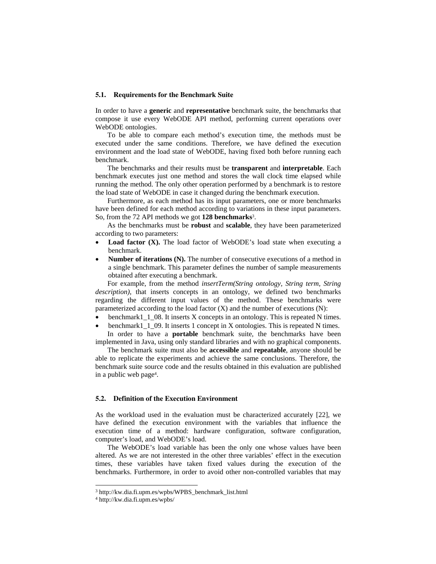#### **5.1. Requirements for the Benchmark Suite**

In order to have a **generic** and **representative** benchmark suite, the benchmarks that compose it use every WebODE API method, performing current operations over WebODE ontologies.

To be able to compare each method's execution time, the methods must be executed under the same conditions. Therefore, we have defined the execution environment and the load state of WebODE, having fixed both before running each benchmark.

The benchmarks and their results must be **transparent** and **interpretable**. Each benchmark executes just one method and stores the wall clock time elapsed while running the method. The only other operation performed by a benchmark is to restore the load state of WebODE in case it changed during the benchmark execution.

Furthermore, as each method has its input parameters, one or more benchmarks have been defined for each method according to variations in these input parameters. So, from the 72 API methods we got **128 benchmarks**[3.](#page-3-0)

As the benchmarks must be **robust** and **scalable**, they have been parameterized according to two parameters:

- **Load factor (X).** The load factor of WebODE's load state when executing a benchmark.
- **Number of iterations (N).** The number of consecutive executions of a method in a single benchmark. This parameter defines the number of sample measurements obtained after executing a benchmark.

For example, from the method *insertTerm(String ontology, String term, String description)*, that inserts concepts in an ontology, we defined two benchmarks regarding the different input values of the method. These benchmarks were parameterized according to the load factor  $(X)$  and the number of executions  $(N)$ :

- benchmark1\_1\_08. It inserts X concepts in an ontology. This is repeated N times.
- benchmark1 1 09. It inserts 1 concept in X ontologies. This is repeated N times. In order to have a **portable** benchmark suite, the benchmarks have been

implemented in Java, using only standard libraries and with no graphical components. The benchmark suite must also be **accessible** and **repeatable**, anyone should be

able to replicate the experiments and achieve the same conclusions. Therefore, the benchmark suite source code and the results obtained in this evaluation are published in a public web pag[e4.](#page-3-1)

### **5.2. Definition of the Execution Environment**

As the workload used in the evaluation must be characterized accurately [22], we have defined the execution environment with the variables that influence the execution time of a method: hardware configuration, software configuration, computer's load, and WebODE's load.

The WebODE's load variable has been the only one whose values have been altered. As we are not interested in the other three variables' effect in the execution times, these variables have taken fixed values during the execution of the benchmarks. Furthermore, in order to avoid other non-controlled variables that may

 $\overline{a}$ 

<span id="page-3-0"></span><sup>3</sup> http://kw.dia.fi.upm.es/wpbs/WPBS\_benchmark\_list.html 4 http://kw.dia.fi.upm.es/wpbs/

<span id="page-3-1"></span>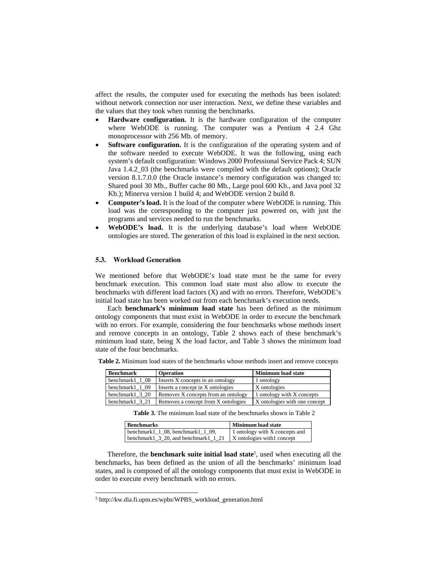affect the results, the computer used for executing the methods has been isolated: without network connection nor user interaction. Next, we define these variables and the values that they took when running the benchmarks.

- **Hardware configuration.** It is the hardware configuration of the computer where WebODE is running. The computer was a Pentium 4 2.4 Ghz monoprocessor with 256 Mb. of memory.
- Software configuration. It is the configuration of the operating system and of the software needed to execute WebODE. It was the following, using each system's default configuration: Windows 2000 Professional Service Pack 4; SUN Java 1.4.2\_03 (the benchmarks were compiled with the default options); Oracle version 8.1.7.0.0 (the Oracle instance's memory configuration was changed to: Shared pool 30 Mb., Buffer cache 80 Mb., Large pool 600 Kb., and Java pool 32 Kb.); Minerva version 1 build 4; and WebODE version 2 build 8.
- **Computer's load.** It is the load of the computer where WebODE is running. This load was the corresponding to the computer just powered on, with just the programs and services needed to run the benchmarks.
- **WebODE's load.** It is the underlying database's load where WebODE ontologies are stored. The generation of this load is explained in the next section.

### **5.3. Workload Generation**

We mentioned before that WebODE's load state must be the same for every benchmark execution. This common load state must also allow to execute the benchmarks with different load factors (X) and with no errors. Therefore, WebODE's initial load state has been worked out from each benchmark's execution needs.

Each **benchmark's minimum load state** has been defined as the minimum ontology components that must exist in WebODE in order to execute the benchmark with no errors. For example, considering the four benchmarks whose methods insert and remove concepts in an ontology, [Table 2](#page-4-0) shows each of these benchmark's minimum load state, being X the load factor, and [Table 3](#page-4-1) shows the minimum load state of the four benchmarks.

<span id="page-4-0"></span>**Table 2.** Minimum load states of the benchmarks whose methods insert and remove concepts

| Benchmark                                | <b>Operation</b>                    | <b>Minimum load state</b>     |  |  |
|------------------------------------------|-------------------------------------|-------------------------------|--|--|
| benchmark1 1 08                          | Inserts X concepts in an ontology   | 1 ontology                    |  |  |
| benchmark1 1 09                          | Inserts a concept in X ontologies   | X ontologies                  |  |  |
| benchmark $1 \overline{3} \overline{20}$ | Removes X concepts from an ontology | 1 ontology with X concepts    |  |  |
| benchmark $1 \ 3 \ 21$                   | Removes a concept from X ontologies | X ontologies with one concept |  |  |

<span id="page-4-1"></span>**Table 3.** The minimum load state of the benchmarks shown in [Table 2](#page-4-0) 

| <b>Benchmarks</b>                                 | <b>Minimum load state</b>      |  |  |  |
|---------------------------------------------------|--------------------------------|--|--|--|
| benchmark $1 \t1 \t08$ , benchmark $1 \t1 \t09$ , | 1 ontology with X concepts and |  |  |  |
| benchmark1 $\,3\,20$ , and benchmark1 $\,1\,21$   | X ontologies with concept      |  |  |  |

Therefore, the **benchmark suite initial load state**[5,](#page-4-2) used when executing all the benchmarks, has been defined as the union of all the benchmarks' minimum load states, and is composed of all the ontology components that must exist in WebODE in order to execute every benchmark with no errors.

 $\overline{a}$ 

<span id="page-4-2"></span><sup>5</sup> http://kw.dia.fi.upm.es/wpbs/WPBS\_workload\_generation.html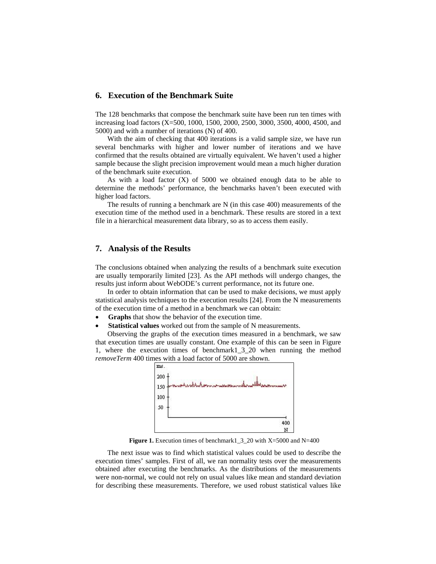# **6. Execution of the Benchmark Suite**

The 128 benchmarks that compose the benchmark suite have been run ten times with increasing load factors (X=500, 1000, 1500, 2000, 2500, 3000, 3500, 4000, 4500, and 5000) and with a number of iterations (N) of 400.

With the aim of checking that 400 iterations is a valid sample size, we have run several benchmarks with higher and lower number of iterations and we have confirmed that the results obtained are virtually equivalent. We haven't used a higher sample because the slight precision improvement would mean a much higher duration of the benchmark suite execution.

As with a load factor  $(X)$  of 5000 we obtained enough data to be able to determine the methods' performance, the benchmarks haven't been executed with higher load factors.

The results of running a benchmark are N (in this case 400) measurements of the execution time of the method used in a benchmark. These results are stored in a text file in a hierarchical measurement data library, so as to access them easily.

# **7. Analysis of the Results**

The conclusions obtained when analyzing the results of a benchmark suite execution are usually temporarily limited [23]. As the API methods will undergo changes, the results just inform about WebODE's current performance, not its future one.

In order to obtain information that can be used to make decisions, we must apply statistical analysis techniques to the execution results [24]. From the N measurements of the execution time of a method in a benchmark we can obtain:

- **Graphs** that show the behavior of the execution time.
- **Statistical values** worked out from the sample of N measurements.

Observing the graphs of the execution times measured in a benchmark, we saw that execution times are usually constant. One example of this can be seen in [Figure](#page-5-0)  [1,](#page-5-0) where the execution times of benchmark1\_3\_20 when running the method *removeTerm* 400 times with a load factor of 5000 are shown.

<span id="page-5-0"></span>

**Figure 1.** Execution times of benchmark1\_3\_20 with X=5000 and N=400

The next issue was to find which statistical values could be used to describe the execution times' samples. First of all, we ran normality tests over the measurements obtained after executing the benchmarks. As the distributions of the measurements were non-normal, we could not rely on usual values like mean and standard deviation for describing these measurements. Therefore, we used robust statistical values like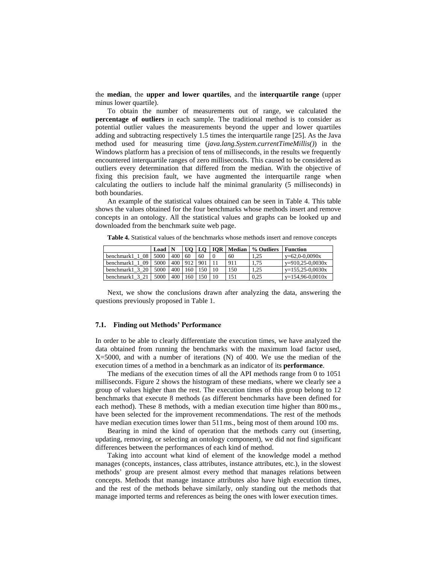the **median**, the **upper and lower quartiles**, and the **interquartile range** (upper minus lower quartile).

To obtain the number of measurements out of range, we calculated the **percentage of outliers** in each sample. The traditional method is to consider as potential outlier values the measurements beyond the upper and lower quartiles adding and subtracting respectively 1.5 times the interquartile range [25]. As the Java method used for measuring time (*java.lang.System.currentTimeMillis()*) in the Windows platform has a precision of tens of milliseconds, in the results we frequently encountered interquartile ranges of zero milliseconds. This caused to be considered as outliers every determination that differed from the median. With the objective of fixing this precision fault, we have augmented the interquartile range when calculating the outliers to include half the minimal granularity (5 milliseconds) in both boundaries.

An example of the statistical values obtained can be seen in [Table 4.](#page-6-0) This table shows the values obtained for the four benchmarks whose methods insert and remove concepts in an ontology. All the statistical values and graphs can be looked up and downloaded from the benchmark suite web page.

<span id="page-6-0"></span>**Table 4.** Statistical values of the benchmarks whose methods insert and remove concepts

|                    | Load |     |     | UO   LO | <b>IOR</b> | Median | % Outliers | Function           |
|--------------------|------|-----|-----|---------|------------|--------|------------|--------------------|
| 08<br>benchmark1   | 5000 | 400 | 60  | 60      |            | 60     | .25        | $y=62,0-0,0090x$   |
| 09<br>benchmark1 1 | 5000 | 400 | 912 | 901     |            | 911    | 1.75       | $y=910,25-0,0030x$ |
| benchmark1 3 20    | 5000 | 400 | 60  | 150     | 10         | 150    | . 25       | $y=155,25-0,0030x$ |
| benchmark1 3       | 5000 | 400 | 60  | 150     | 10         | 151    | 0.25       | $y=154,96-0,0010x$ |

Next, we show the conclusions drawn after analyzing the data, answering the questions previously proposed in [Table 1.](#page-2-0)

### **7.1. Finding out Methods' Performance**

In order to be able to clearly differentiate the execution times, we have analyzed the data obtained from running the benchmarks with the maximum load factor used,  $X=5000$ , and with a number of iterations (N) of 400. We use the median of the execution times of a method in a benchmark as an indicator of its **performance**.

The medians of the execution times of all the API methods range from 0 to 1051 milliseconds. [Figure 2](#page-7-0) shows the histogram of these medians, where we clearly see a group of values higher than the rest. The execution times of this group belong to 12 benchmarks that execute 8 methods (as different benchmarks have been defined for each method). These 8 methods, with a median execution time higher than 800 ms., have been selected for the improvement recommendations. The rest of the methods have median execution times lower than 511ms., being most of them around 100 ms.

Bearing in mind the kind of operation that the methods carry out (inserting, updating, removing, or selecting an ontology component), we did not find significant differences between the performances of each kind of method.

Taking into account what kind of element of the knowledge model a method manages (concepts, instances, class attributes, instance attributes, etc.), in the slowest methods' group are present almost every method that manages relations between concepts. Methods that manage instance attributes also have high execution times, and the rest of the methods behave similarly, only standing out the methods that manage imported terms and references as being the ones with lower execution times.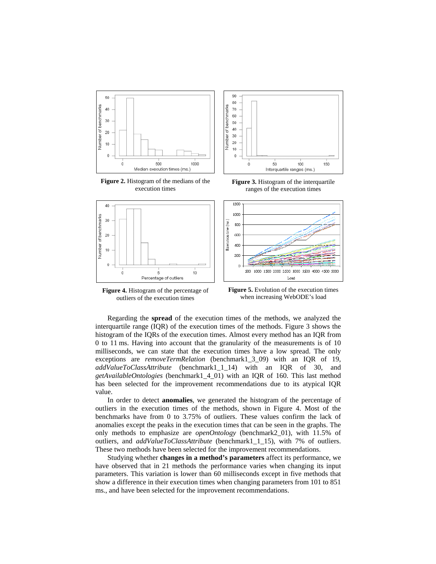<span id="page-7-0"></span>

**Figure 2.** Histogram of the medians of the execution times

<span id="page-7-2"></span>

**Figure 4.** Histogram of the percentage of

outliers of the execution times

<span id="page-7-1"></span>ranges of the execution times

<span id="page-7-3"></span>

**Figure 5.** Evolution of the execution times when increasing WebODE's load

Regarding the **spread** of the execution times of the methods, we analyzed the interquartile range (IQR) of the execution times of the methods. [Figure 3](#page-7-1) shows the histogram of the IQRs of the execution times. Almost every method has an IQR from 0 to 11 ms. Having into account that the granularity of the measurements is of 10 milliseconds, we can state that the execution times have a low spread. The only exceptions are *removeTermRelation* (benchmark1\_3\_09) with an IQR of 19, *addValueToClassAttribute* (benchmark1\_1\_14) with an IQR of 30, and *getAvailableOntologies* (benchmark1\_4\_01) with an IQR of 160. This last method has been selected for the improvement recommendations due to its atypical IQR value.

In order to detect **anomalies**, we generated the histogram of the percentage of outliers in the execution times of the methods, shown in [Figure 4.](#page-7-2) Most of the benchmarks have from 0 to 3.75% of outliers. These values confirm the lack of anomalies except the peaks in the execution times that can be seen in the graphs. The only methods to emphasize are *openOntology* (benchmark2\_01), with 11.5% of outliers, and *addValueToClassAttribute* (benchmark1\_1\_15), with 7% of outliers. These two methods have been selected for the improvement recommendations.

Studying whether **changes in a method's parameters** affect its performance, we have observed that in 21 methods the performance varies when changing its input parameters. This variation is lower than 60 milliseconds except in five methods that show a difference in their execution times when changing parameters from 101 to 851 ms., and have been selected for the improvement recommendations.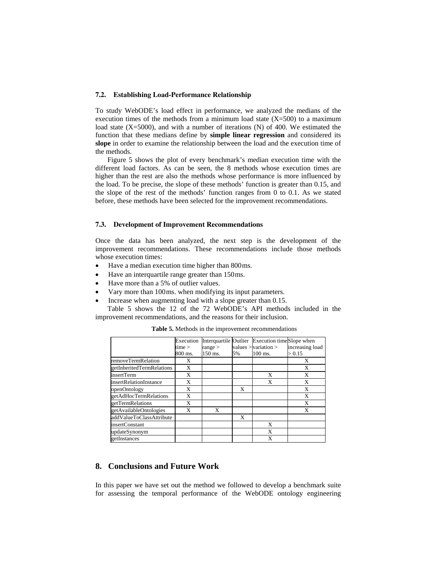### **7.2. Establishing Load-Performance Relationship**

To study WebODE's load effect in performance, we analyzed the medians of the execution times of the methods from a minimum load state  $(X=500)$  to a maximum load state (X=5000), and with a number of iterations (N) of 400. We estimated the function that these medians define by **simple linear regression** and considered its **slope** in order to examine the relationship between the load and the execution time of the methods.

[Figure 5](#page-7-3) shows the plot of every benchmark's median execution time with the different load factors. As can be seen, the 8 methods whose execution times are higher than the rest are also the methods whose performance is more influenced by the load. To be precise, the slope of these methods' function is greater than 0.15, and the slope of the rest of the methods' function ranges from 0 to 0.1. As we stated before, these methods have been selected for the improvement recommendations.

#### **7.3. Development of Improvement Recommendations**

Once the data has been analyzed, the next step is the development of the improvement recommendations. These recommendations include those methods whose execution times:

- Have a median execution time higher than 800ms.
- Have an interquartile range greater than 150ms.
- Have more than a 5% of outlier values.
- Vary more than 100ms. when modifying its input parameters.
- Increase when augmenting load with a slope greater than 0.15.

[Table 5](#page-8-0) shows the 12 of the 72 WebODE's API methods included in the improvement recommendations, and the reasons for their inclusion.

|                           | Execution |         |    | Interquartile Outlier Execution timeSlope when |                 |
|---------------------------|-----------|---------|----|------------------------------------------------|-----------------|
|                           | time >    | range   |    | values $>$ variation $>$                       | increasing load |
|                           | 800 ms.   | 150 ms. | 5% | $100$ ms.                                      | > 0.15          |
| removeTermRelation        | X         |         |    |                                                | X               |
| getInheritedTermRelations | X         |         |    |                                                | X               |
| insertTerm                | X         |         |    | X                                              | X               |
| insertRelationInstance    | X         |         |    | X                                              | X               |
| openOntology              | X         |         | X  |                                                | X               |
| getAdHocTermRelations     | X         |         |    |                                                | X               |
| getTermRelations          | X         |         |    |                                                | X               |
| getAvailableOntologies    | X         | X       |    |                                                | X               |
| addValueToClassAttribute  |           |         | X  |                                                |                 |
| <i>insertConstant</i>     |           |         |    | X                                              |                 |
| updateSynonym             |           |         |    | X                                              |                 |
| getInstances              |           |         |    | X                                              |                 |

<span id="page-8-0"></span>**Table 5.** Methods in the improvement recommendations

# **8. Conclusions and Future Work**

In this paper we have set out the method we followed to develop a benchmark suite for assessing the temporal performance of the WebODE ontology engineering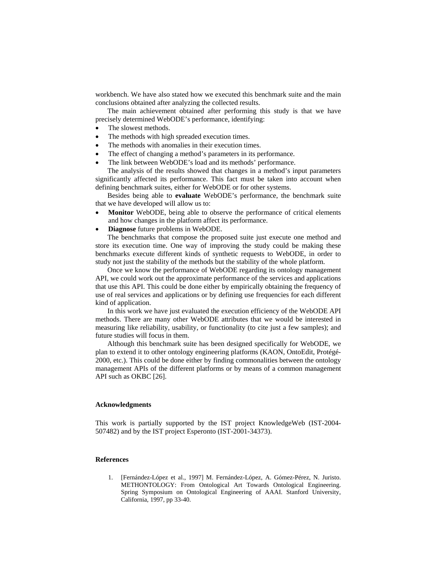workbench. We have also stated how we executed this benchmark suite and the main conclusions obtained after analyzing the collected results.

The main achievement obtained after performing this study is that we have precisely determined WebODE's performance, identifying:

- The slowest methods.
- The methods with high spreaded execution times.
- The methods with anomalies in their execution times.
- The effect of changing a method's parameters in its performance.
- The link between WebODE's load and its methods' performance.

The analysis of the results showed that changes in a method's input parameters significantly affected its performance. This fact must be taken into account when defining benchmark suites, either for WebODE or for other systems.

Besides being able to **evaluate** WebODE's performance, the benchmark suite that we have developed will allow us to:

- **Monitor** WebODE, being able to observe the performance of critical elements and how changes in the platform affect its performance.
- **Diagnose** future problems in WebODE.

The benchmarks that compose the proposed suite just execute one method and store its execution time. One way of improving the study could be making these benchmarks execute different kinds of synthetic requests to WebODE, in order to study not just the stability of the methods but the stability of the whole platform.

Once we know the performance of WebODE regarding its ontology management API, we could work out the approximate performance of the services and applications that use this API. This could be done either by empirically obtaining the frequency of use of real services and applications or by defining use frequencies for each different kind of application.

In this work we have just evaluated the execution efficiency of the WebODE API methods. There are many other WebODE attributes that we would be interested in measuring like reliability, usability, or functionality (to cite just a few samples); and future studies will focus in them.

Although this benchmark suite has been designed specifically for WebODE, we plan to extend it to other ontology engineering platforms (KAON, OntoEdit, Protégé-2000, etc.). This could be done either by finding commonalities between the ontology management APIs of the different platforms or by means of a common management API such as OKBC [26].

#### **Acknowledgments**

This work is partially supported by the IST project KnowledgeWeb (IST-2004- 507482) and by the IST project Esperonto (IST-2001-34373).

### **References**

1. [Fernández-López et al., 1997] M. Fernández-López, A. Gómez-Pérez, N. Juristo. METHONTOLOGY: From Ontological Art Towards Ontological Engineering. Spring Symposium on Ontological Engineering of AAAI. Stanford University, California, 1997, pp 33-40.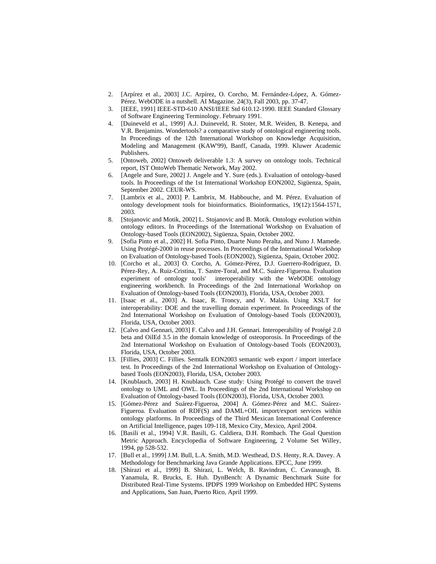- 2. [Arpírez et al., 2003] J.C. Arpírez, O. Corcho, M. Fernández-López, A. Gómez-Pérez. WebODE in a nutshell. AI Magazine. 24(3), Fall 2003, pp. 37-47.
- 3. [IEEE, 1991] IEEE-STD-610 ANSI/IEEE Std 610.12-1990. IEEE Standard Glossary of Software Engineering Terminology. February 1991.
- 4. [Duineveld et al., 1999] A.J. Duineveld, R. Stoter, M.R. Weiden, B. Kenepa, and V.R. Benjamins. Wondertools? a comparative study of ontological engineering tools. In Proceedings of the 12th International Workshop on Knowledge Acquisition, Modeling and Management (KAW'99), Banff, Canada, 1999. Kluwer Academic Publishers.
- 5. [Ontoweb, 2002] Ontoweb deliverable 1.3: A survey on ontology tools. Technical report, IST OntoWeb Thematic Network, May 2002.
- 6. [Angele and Sure, 2002] J. Angele and Y. Sure (eds.). Evaluation of ontology-based tools. In Proceedings of the 1st International Workshop EON2002, Sigüenza, Spain, September 2002. CEUR-WS.
- 7. [Lambrix et al., 2003] P. Lambrix, M. Habbouche, and M. Pérez. Evaluation of ontology development tools for bioinformatics. Bioinformatics, 19(12):1564-1571, 2003.
- 8. [Stojanovic and Motik, 2002] L. Stojanovic and B. Motik. Ontology evolution within ontology editors. In Proceedings of the International Workshop on Evaluation of Ontology-based Tools (EON2002), Sigüenza, Spain, October 2002.
- 9. [Sofia Pinto et al., 2002] H. Sofia Pinto, Duarte Nuno Peralta, and Nuno J. Mamede. Using Protégé-2000 in reuse processes. In Proceedings of the International Workshop on Evaluation of Ontology-based Tools (EON2002), Sigüenza, Spain, October 2002.
- 10. [Corcho et al., 2003] O. Corcho, A. Gómez-Pérez, D.J. Guerrero-Rodríguez, D. Pérez-Rey, A. Ruiz-Cristina, T. Sastre-Toral, and M.C. Suárez-Figueroa. Evaluation experiment of ontology tools' interoperability with the WebODE ontology engineering workbench. In Proceedings of the 2nd International Workshop on Evaluation of Ontology-based Tools (EON2003), Florida, USA, October 2003.
- 11. [Isaac et al., 2003] A. Isaac, R. Troncy, and V. Malais. Using XSLT for interoperability: DOE and the travelling domain experiment. In Proceedings of the 2nd International Workshop on Evaluation of Ontology-based Tools (EON2003), Florida, USA, October 2003.
- 12. [Calvo and Gennari, 2003] F. Calvo and J.H. Gennari. Interoperability of Protégé 2.0 beta and OilEd 3.5 in the domain knowledge of osteoporosis. In Proceedings of the 2nd International Workshop on Evaluation of Ontology-based Tools (EON2003), Florida, USA, October 2003.
- 13. [Fillies, 2003] C. Fillies. Semtalk EON2003 semantic web export / import interface test. In Proceedings of the 2nd International Workshop on Evaluation of Ontologybased Tools (EON2003), Florida, USA, October 2003.
- 14. [Knublauch, 2003] H. Knublauch. Case study: Using Protégé to convert the travel ontology to UML and OWL. In Proceedings of the 2nd International Workshop on Evaluation of Ontology-based Tools (EON2003), Florida, USA, October 2003.
- 15. [Gómez-Pérez and Suárez-Figueroa, 2004] A. Gómez-Pérez and M.C. Suárez-Figueroa. Evaluation of RDF(S) and DAML+OIL import/export services within ontology platforms. In Proceedings of the Third Mexican International Conference on Artificial Intelligence, pages 109-118, Mexico City, Mexico, April 2004.
- 16. [Basili et al., 1994] V.R. Basili, G. Caldiera, D.H. Rombach. The Goal Question Metric Approach. Encyclopedia of Software Engineering, 2 Volume Set Willey, 1994, pp 528-532.
- 17. [Bull et al., 1999] J.M. Bull, L.A. Smith, M.D. Westhead, D.S. Henty, R.A. Davey. A Methodology for Benchmarking Java Grande Applications. EPCC, June 1999.
- 18. [Shirazi et al., 1999] B. Shirazi, L. Welch, B. Ravindran, C. Cavanaugh, B. Yanamula, R. Brucks, E. Huh. DynBench: A Dynamic Benchmark Suite for Distributed Real-Time Systems. IPDPS 1999 Workshop on Embedded HPC Systems and Applications, San Juan, Puerto Rico, April 1999.